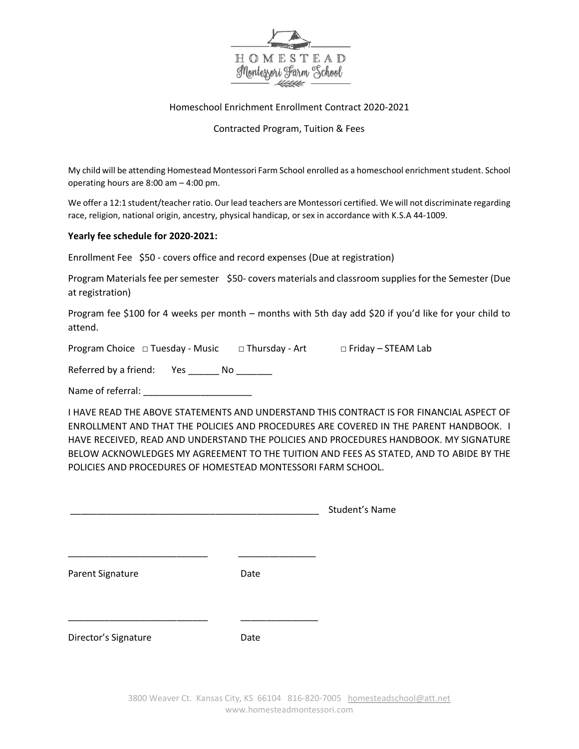

## Homeschool Enrichment Enrollment Contract 2020-2021

## Contracted Program, Tuition & Fees

My child will be attending Homestead Montessori Farm School enrolled as a homeschool enrichmentstudent. School operating hours are 8:00 am – 4:00 pm.

We offer a 12:1 student/teacher ratio. Our lead teachers are Montessori certified. We will not discriminate regarding race, religion, national origin, ancestry, physical handicap, or sex in accordance with K.S.A 44-1009.

## **Yearly fee schedule for 2020-2021:**

Enrollment Fee \$50 - covers office and record expenses (Due at registration)

Program Materials fee per semester \$50- covers materials and classroom supplies for the Semester (Due at registration)

Program fee \$100 for 4 weeks per month – months with 5th day add \$20 if you'd like for your child to attend.

Program Choice □ Tuesday - Music □ Thursday - Art □ Friday – STEAM Lab

Referred by a friend: Yes No

Name of referral:

I HAVE READ THE ABOVE STATEMENTS AND UNDERSTAND THIS CONTRACT IS FOR FINANCIAL ASPECT OF ENROLLMENT AND THAT THE POLICIES AND PROCEDURES ARE COVERED IN THE PARENT HANDBOOK. I HAVE RECEIVED, READ AND UNDERSTAND THE POLICIES AND PROCEDURES HANDBOOK. MY SIGNATURE BELOW ACKNOWLEDGES MY AGREEMENT TO THE TUITION AND FEES AS STATED, AND TO ABIDE BY THE POLICIES AND PROCEDURES OF HOMESTEAD MONTESSORI FARM SCHOOL.

|                      |      | Student's Name |
|----------------------|------|----------------|
|                      |      |                |
| Parent Signature     | Date |                |
| Director's Signature | Date |                |